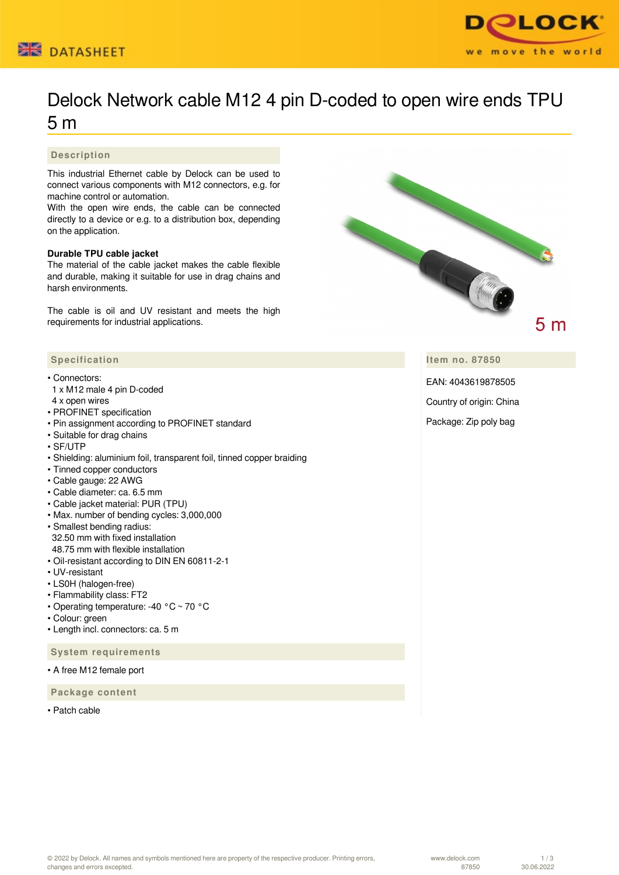



# Delock Network cable M12 4 pin D-coded to open wire ends TPU 5 m

### **Description**

This industrial Ethernet cable by Delock can be used to connect various components with M12 connectors, e.g. for machine control or automation.

With the open wire ends, the cable can be connected directly to a device or e.g. to a distribution box, depending on the application.

#### **Durable TPU cable jacket**

The material of the cable jacket makes the cable flexible and durable, making it suitable for use in drag chains and harsh environments.

The cable is oil and UV resistant and meets the high requirements for industrial applications.



#### • Connectors:

- 1 x M12 male 4 pin D-coded
- 4 x open wires
- PROFINET specification
- Pin assignment according to PROFINET standard
- Suitable for drag chains
- SF/UTP
- Shielding: aluminium foil, transparent foil, tinned copper braiding
- Tinned copper conductors
- Cable gauge: 22 AWG
- Cable diameter: ca. 6.5 mm
- Cable jacket material: PUR (TPU)
- Max. number of bending cycles: 3,000,000
- Smallest bending radius: 32.50 mm with fixed installation 48.75 mm with flexible installation
- Oil-resistant according to DIN EN 60811-2-1
- UV-resistant
- LS0H (halogen-free)
- Flammability class: FT2
- Operating temperature: -40 °C ~ 70 °C
- Colour: green
- Length incl. connectors: ca. 5 m

 **System requirements**

• A free M12 female port

 **Package content**

• Patch cable



**Item no. 87850**

EAN: 4043619878505

Country of origin: China

Package: Zip poly bag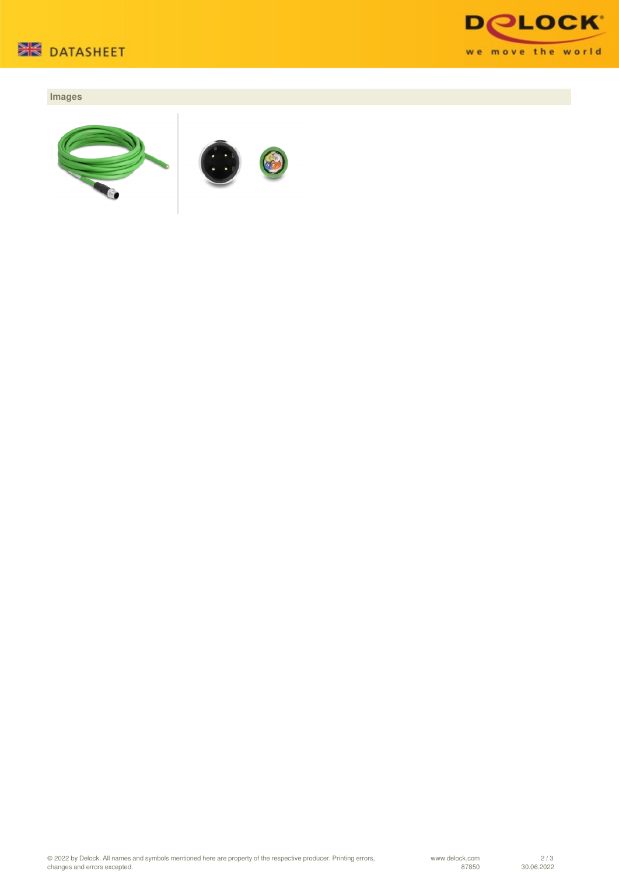



## **Images**